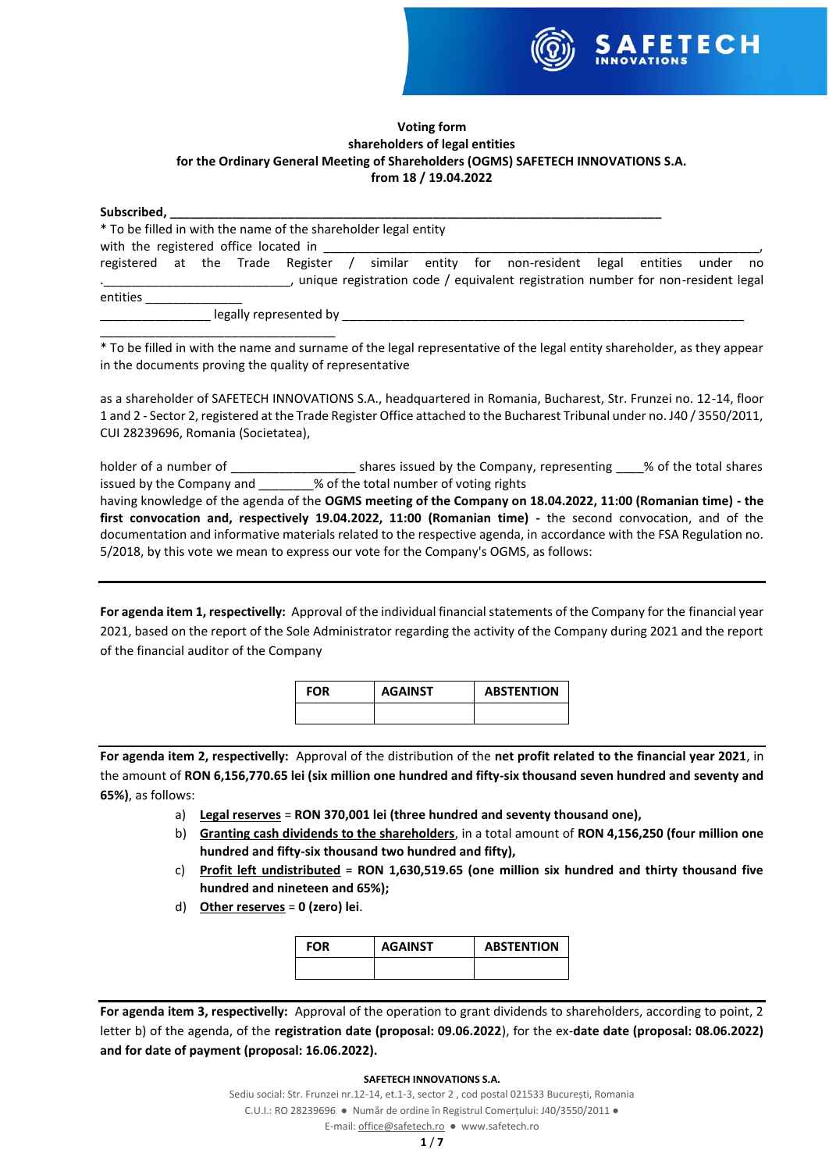

## **Voting form shareholders of legal entities for the Ordinary General Meeting of Shareholders (OGMS) SAFETECH INNOVATIONS S.A. from 18 / 19.04.2022**

| Subscribed, ___________                                                            |  |                        |  |  |                                                                                         |  |    |
|------------------------------------------------------------------------------------|--|------------------------|--|--|-----------------------------------------------------------------------------------------|--|----|
| * To be filled in with the name of the shareholder legal entity                    |  |                        |  |  |                                                                                         |  |    |
| with the registered office located in Theorem and the registered office located in |  |                        |  |  |                                                                                         |  |    |
|                                                                                    |  |                        |  |  | registered at the Trade Register / similar entity for non-resident legal entities under |  | no |
|                                                                                    |  |                        |  |  | , unique registration code / equivalent registration number for non-resident legal      |  |    |
| entities                                                                           |  |                        |  |  |                                                                                         |  |    |
|                                                                                    |  | legally represented by |  |  |                                                                                         |  |    |

\_\_\_\_\_\_\_\_\_\_\_\_\_\_\_\_\_\_\_\_\_\_\_\_\_\_\_\_\_\_\_\_\_\_ \* To be filled in with the name and surname of the legal representative of the legal entity shareholder, as they appear in the documents proving the quality of representative

as a shareholder of SAFETECH INNOVATIONS S.A., headquartered in Romania, Bucharest, Str. Frunzei no. 12-14, floor 1 and 2 - Sector 2, registered at the Trade Register Office attached to the Bucharest Tribunal under no. J40 / 3550/2011, CUI 28239696, Romania (Societatea),

holder of a number of \_\_\_\_\_\_\_\_\_\_\_\_\_\_\_\_\_\_\_\_\_\_\_ shares issued by the Company, representing \_\_\_\_% of the total shares issued by the Company and \_\_\_\_\_\_\_\_% of the total number of voting rights  $\overline{\mathscr{C}}$  of the total number of voting rights having knowledge of the agenda of the **OGMS meeting of the Company on 18.04.2022, 11:00 (Romanian time) - the** 

**first convocation and, respectively 19.04.2022, 11:00 (Romanian time) -** the second convocation, and of the documentation and informative materials related to the respective agenda, in accordance with the FSA Regulation no. 5/2018, by this vote we mean to express our vote for the Company's OGMS, as follows:

**For agenda item 1, respectivelly:** Approval of the individual financial statements of the Company for the financial year 2021, based on the report of the Sole Administrator regarding the activity of the Company during 2021 and the report of the financial auditor of the Company

| <b>FOR</b> | <b>AGAINST</b> | <b>ABSTENTION</b> |
|------------|----------------|-------------------|
|            |                |                   |

**For agenda item 2, respectivelly:** Approval of the distribution of the **net profit related to the financial year 2021**, in the amount of **RON 6,156,770.65 lei (six million one hundred and fifty-six thousand seven hundred and seventy and 65%)**, as follows:

- a) **Legal reserves** = **RON 370,001 lei (three hundred and seventy thousand one),**
- b) **Granting cash dividends to the shareholders**, in a total amount of **RON 4,156,250 (four million one hundred and fifty-six thousand two hundred and fifty),**
- c) **Profit left undistributed** = **RON 1,630,519.65 (one million six hundred and thirty thousand five hundred and nineteen and 65%);**
- d) **Other reserves** = **0 (zero) lei**.

| FOR | <b>AGAINST</b> | <b>ABSTENTION</b> |
|-----|----------------|-------------------|
|     |                |                   |

**For agenda item 3, respectivelly:** Approval of the operation to grant dividends to shareholders, according to point, 2 letter b) of the agenda, of the **registration date (proposal: 09.06.2022**), for the ex-**date date (proposal: 08.06.2022) and for date of payment (proposal: 16.06.2022).**

### **SAFETECH INNOVATIONS S.A.**

Sediu social: Str. Frunzei nr.12-14, et.1-3, sector 2 , cod postal 021533 București, Romania C.U.I.: RO 28239696 ● Număr de ordine în Registrul Comerțului: J40/3550/2011 ●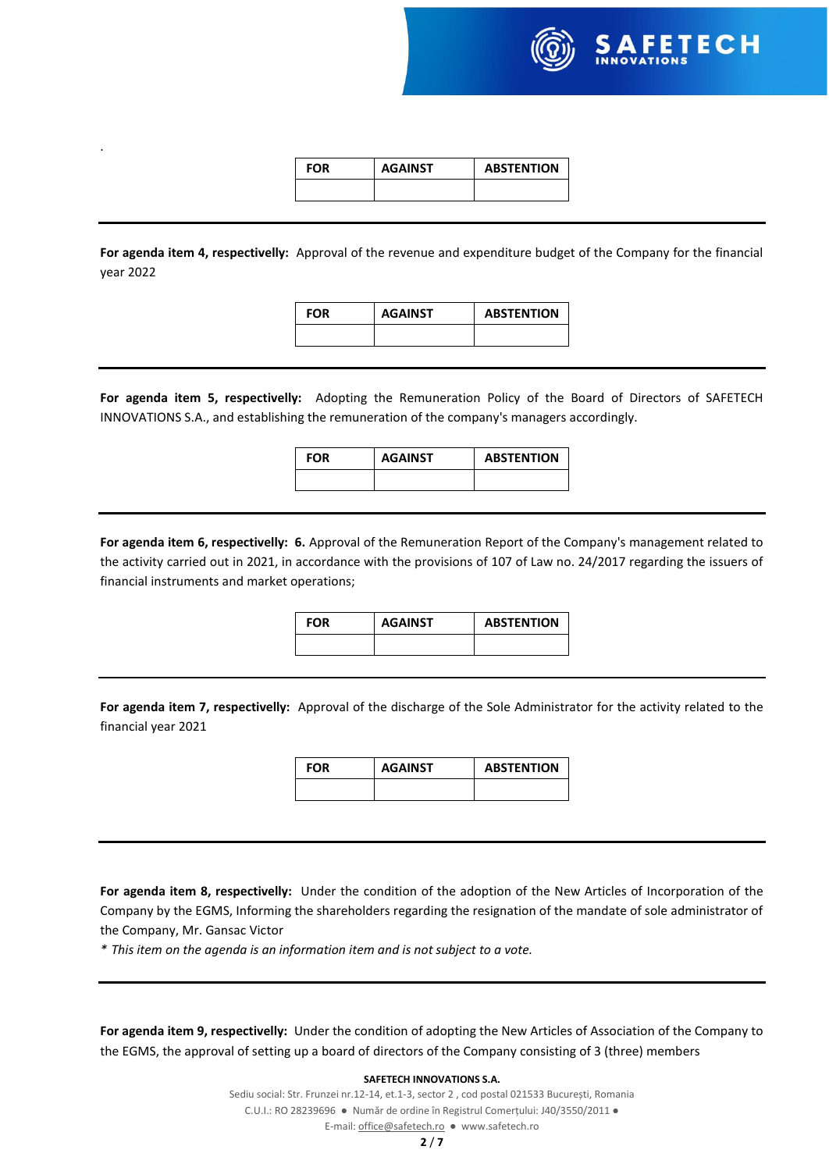

| FOR | <b>AGAINST</b> | <b>ABSTENTION</b> |
|-----|----------------|-------------------|
|     |                |                   |

.

**For agenda item 4, respectivelly:** Approval of the revenue and expenditure budget of the Company for the financial year 2022

**FOR AGAINST ABSTENTION**

**For agenda item 5, respectivelly:** Adopting the Remuneration Policy of the Board of Directors of SAFETECH INNOVATIONS S.A., and establishing the remuneration of the company's managers accordingly.

**FOR AGAINST ABSTENTION**

**For agenda item 6, respectivelly: 6.** Approval of the Remuneration Report of the Company's management related to the activity carried out in 2021, in accordance with the provisions of 107 of Law no. 24/2017 regarding the issuers of financial instruments and market operations;

| FOR | <b>AGAINST</b> | <b>ABSTENTION</b> |
|-----|----------------|-------------------|
|     |                |                   |

**For agenda item 7, respectivelly:** Approval of the discharge of the Sole Administrator for the activity related to the financial year 2021

| <b>FOR</b> | <b>AGAINST</b> | <b>ABSTENTION</b> |
|------------|----------------|-------------------|
|            |                |                   |

**For agenda item 8, respectivelly:** Under the condition of the adoption of the New Articles of Incorporation of the Company by the EGMS, Informing the shareholders regarding the resignation of the mandate of sole administrator of the Company, Mr. Gansac Victor

*\* This item on the agenda is an information item and is not subject to a vote.*

**For agenda item 9, respectivelly:** Under the condition of adopting the New Articles of Association of the Company to the EGMS, the approval of setting up a board of directors of the Company consisting of 3 (three) members

#### **SAFETECH INNOVATIONS S.A.**

Sediu social: Str. Frunzei nr.12-14, et.1-3, sector 2 , cod postal 021533 București, Romania C.U.I.: RO 28239696 ● Număr de ordine în Registrul Comerțului: J40/3550/2011 ●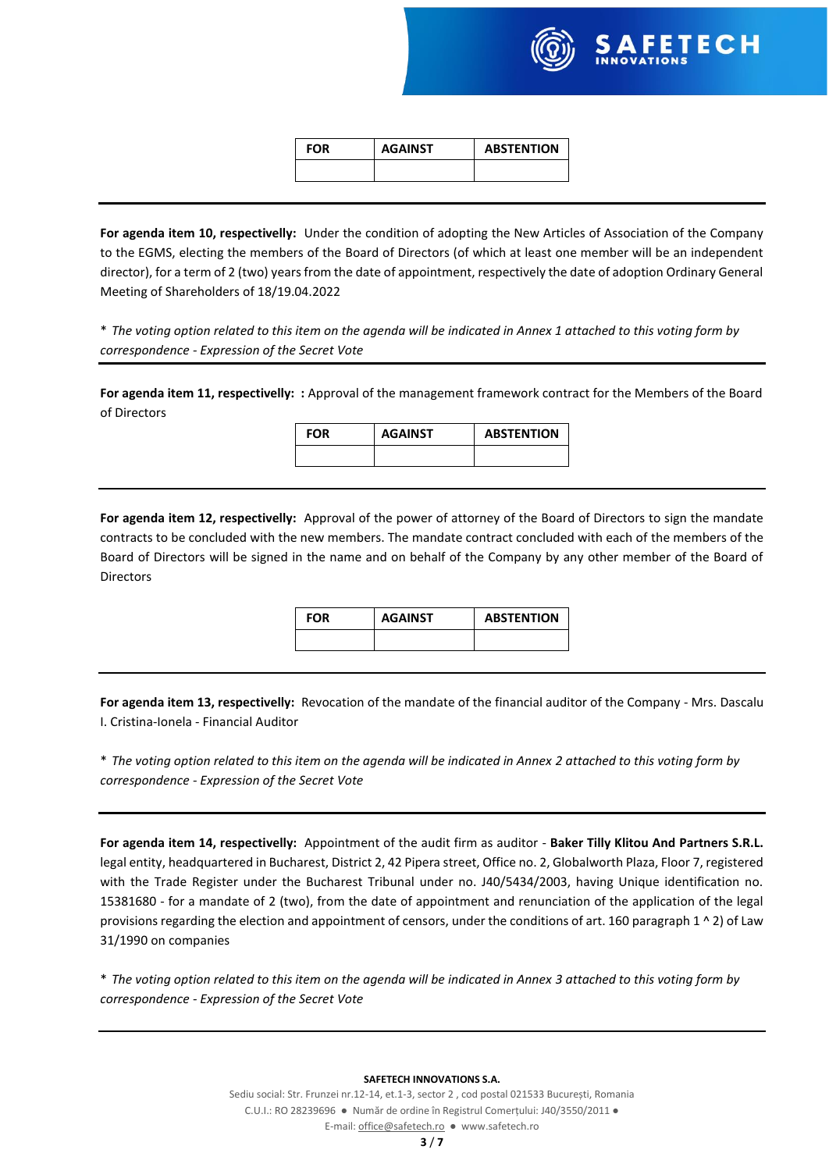

| <b>FOR</b> | <b>AGAINST</b> | <b>ABSTENTION</b> |
|------------|----------------|-------------------|
|            |                |                   |

**For agenda item 10, respectivelly:** Under the condition of adopting the New Articles of Association of the Company to the EGMS, electing the members of the Board of Directors (of which at least one member will be an independent director), for a term of 2 (two) years from the date of appointment, respectively the date of adoption Ordinary General Meeting of Shareholders of 18/19.04.2022

\* *The voting option related to this item on the agenda will be indicated in Annex 1 attached to this voting form by correspondence - Expression of the Secret Vote*

**For agenda item 11, respectivelly: :** Approval of the management framework contract for the Members of the Board of Directors

**FOR AGAINST ABSTENTION**

**For agenda item 12, respectivelly:** Approval of the power of attorney of the Board of Directors to sign the mandate contracts to be concluded with the new members. The mandate contract concluded with each of the members of the Board of Directors will be signed in the name and on behalf of the Company by any other member of the Board of Directors

| <b>FOR</b> | <b>AGAINST</b> | <b>ABSTENTION</b> |
|------------|----------------|-------------------|
|            |                |                   |

**For agenda item 13, respectivelly:** Revocation of the mandate of the financial auditor of the Company - Mrs. Dascalu I. Cristina-Ionela - Financial Auditor

\* *The voting option related to this item on the agenda will be indicated in Annex 2 attached to this voting form by correspondence - Expression of the Secret Vote*

**For agenda item 14, respectivelly:** Appointment of the audit firm as auditor - **Baker Tilly Klitou And Partners S.R.L.** legal entity, headquartered in Bucharest, District 2, 42 Pipera street, Office no. 2, Globalworth Plaza, Floor 7, registered with the Trade Register under the Bucharest Tribunal under no. J40/5434/2003, having Unique identification no. 15381680 - for a mandate of 2 (two), from the date of appointment and renunciation of the application of the legal provisions regarding the election and appointment of censors, under the conditions of art. 160 paragraph 1  $\land$  2) of Law 31/1990 on companies

\* *The voting option related to this item on the agenda will be indicated in Annex 3 attached to this voting form by correspondence - Expression of the Secret Vote*

#### **SAFETECH INNOVATIONS S.A.**

Sediu social: Str. Frunzei nr.12-14, et.1-3, sector 2 , cod postal 021533 București, Romania C.U.I.: RO 28239696 ● Număr de ordine în Registrul Comerțului: J40/3550/2011 ●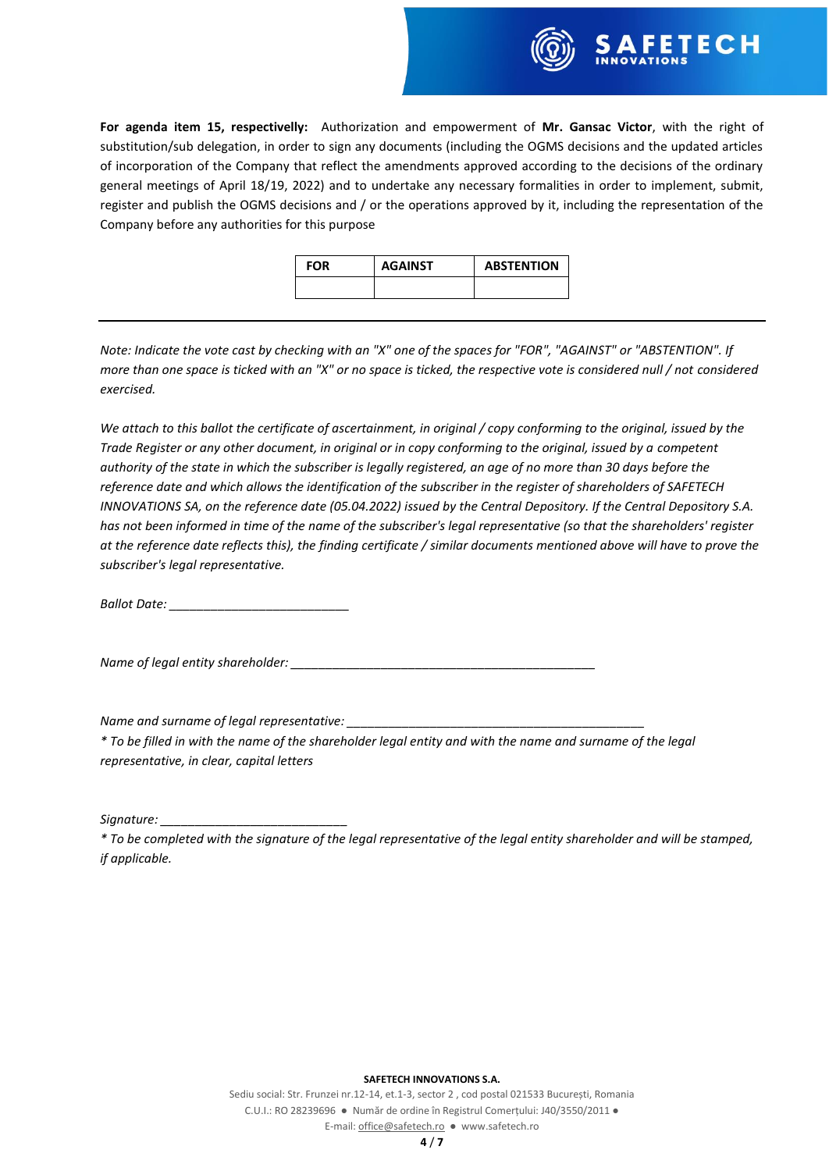

**For agenda item 15, respectivelly:** Authorization and empowerment of **Mr. Gansac Victor**, with the right of substitution/sub delegation, in order to sign any documents (including the OGMS decisions and the updated articles of incorporation of the Company that reflect the amendments approved according to the decisions of the ordinary general meetings of April 18/19, 2022) and to undertake any necessary formalities in order to implement, submit, register and publish the OGMS decisions and / or the operations approved by it, including the representation of the Company before any authorities for this purpose

| <b>FOR</b> | <b>AGAINST</b> | <b>ABSTENTION</b> |
|------------|----------------|-------------------|
|            |                |                   |

*Note: Indicate the vote cast by checking with an "X" one of the spaces for "FOR", "AGAINST" or "ABSTENTION". If more than one space is ticked with an "X" or no space is ticked, the respective vote is considered null / not considered exercised.*

*We attach to this ballot the certificate of ascertainment, in original / copy conforming to the original, issued by the Trade Register or any other document, in original or in copy conforming to the original, issued by a competent authority of the state in which the subscriber is legally registered, an age of no more than 30 days before the reference date and which allows the identification of the subscriber in the register of shareholders of SAFETECH INNOVATIONS SA, on the reference date (05.04.2022) issued by the Central Depository. If the Central Depository S.A. has not been informed in time of the name of the subscriber's legal representative (so that the shareholders' register at the reference date reflects this), the finding certificate / similar documents mentioned above will have to prove the subscriber's legal representative.*

*Ballot Date: \_\_\_\_\_\_\_\_\_\_\_\_\_\_\_\_\_\_\_\_\_\_\_\_\_\_*

*Name of legal entity shareholder:* 

*Name and surname of legal representative:* 

*\* To be filled in with the name of the shareholder legal entity and with the name and surname of the legal representative, in clear, capital letters*

*Signature: \_\_\_\_\_\_\_\_\_\_\_\_\_\_\_\_\_\_\_\_\_\_\_\_\_\_\_*

*\* To be completed with the signature of the legal representative of the legal entity shareholder and will be stamped, if applicable.*

#### **SAFETECH INNOVATIONS S.A.**

Sediu social: Str. Frunzei nr.12-14, et.1-3, sector 2 , cod postal 021533 București, Romania C.U.I.: RO 28239696 ● Număr de ordine în Registrul Comerțului: J40/3550/2011 ● E-mail[: office@safetech.ro](mailto:office@safetech.ro) ● www.safetech.ro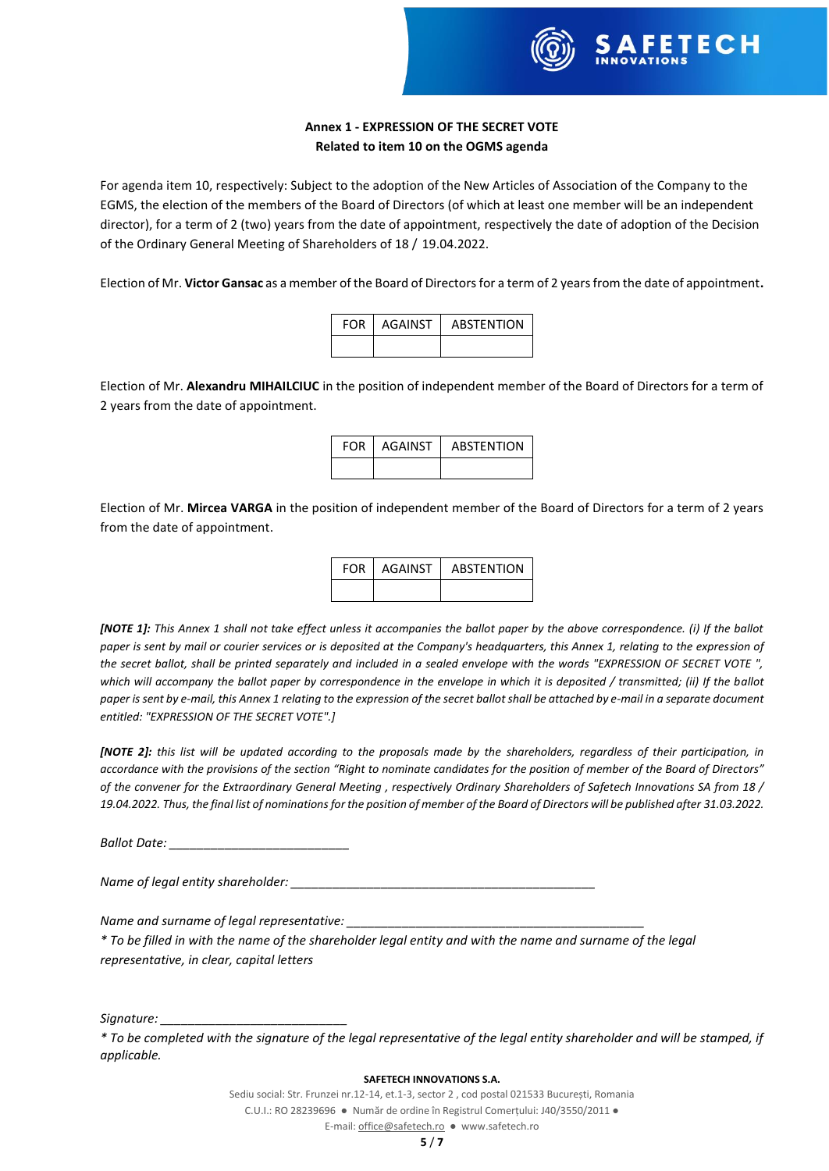

# **Annex 1 - EXPRESSION OF THE SECRET VOTE Related to item 10 on the OGMS agenda**

For agenda item 10, respectively: Subject to the adoption of the New Articles of Association of the Company to the EGMS, the election of the members of the Board of Directors (of which at least one member will be an independent director), for a term of 2 (two) years from the date of appointment, respectively the date of adoption of the Decision of the Ordinary General Meeting of Shareholders of 18 / 19.04.2022.

Election of Mr. **Victor Gansac** as a member of the Board of Directors for a term of 2 years from the date of appointment**.**

| <b>FOR</b> | AGAINST | <b>ABSTENTION</b> |
|------------|---------|-------------------|
|            |         |                   |

Election of Mr. **Alexandru MIHAILCIUC** in the position of independent member of the Board of Directors for a term of 2 years from the date of appointment.

| <b>FOR</b> | AGAINST | <b>ABSTENTION</b> |
|------------|---------|-------------------|
|            |         |                   |

Election of Mr. **Mircea VARGA** in the position of independent member of the Board of Directors for a term of 2 years from the date of appointment.

| FOR AGAINST | <b>ABSTENTION</b> |
|-------------|-------------------|
|             |                   |

*[NOTE 1]: This Annex 1 shall not take effect unless it accompanies the ballot paper by the above correspondence. (i) If the ballot paper is sent by mail or courier services or is deposited at the Company's headquarters, this Annex 1, relating to the expression of the secret ballot, shall be printed separately and included in a sealed envelope with the words "EXPRESSION OF SECRET VOTE ", which will accompany the ballot paper by correspondence in the envelope in which it is deposited / transmitted; (ii) If the ballot paper is sent by e-mail, this Annex 1 relating to the expression of the secret ballot shall be attached by e-mail in a separate document entitled: "EXPRESSION OF THE SECRET VOTE".]*

*[NOTE 2]: this list will be updated according to the proposals made by the shareholders, regardless of their participation, in accordance with the provisions of the section "Right to nominate candidates for the position of member of the Board of Directors" of the convener for the Extraordinary General Meeting , respectively Ordinary Shareholders of Safetech Innovations SA from 18 / 19.04.2022. Thus, the final list of nominations for the position of member of the Board of Directors will be published after 31.03.2022.*

*Ballot Date: \_\_\_\_\_\_\_\_\_\_\_\_\_\_\_\_\_\_\_\_\_\_\_\_\_\_*

*Name of legal entity shareholder:* 

*Name and surname of legal representative:* 

*\* To be filled in with the name of the shareholder legal entity and with the name and surname of the legal representative, in clear, capital letters*

*Signature: \_\_\_\_\_\_\_\_\_\_\_\_\_\_\_\_\_\_\_\_\_\_\_\_\_\_\_*

#### **SAFETECH INNOVATIONS S.A.**

Sediu social: Str. Frunzei nr.12-14, et.1-3, sector 2 , cod postal 021533 București, Romania C.U.I.: RO 28239696 ● Număr de ordine în Registrul Comerțului: J40/3550/2011 ●

*<sup>\*</sup> To be completed with the signature of the legal representative of the legal entity shareholder and will be stamped, if applicable.*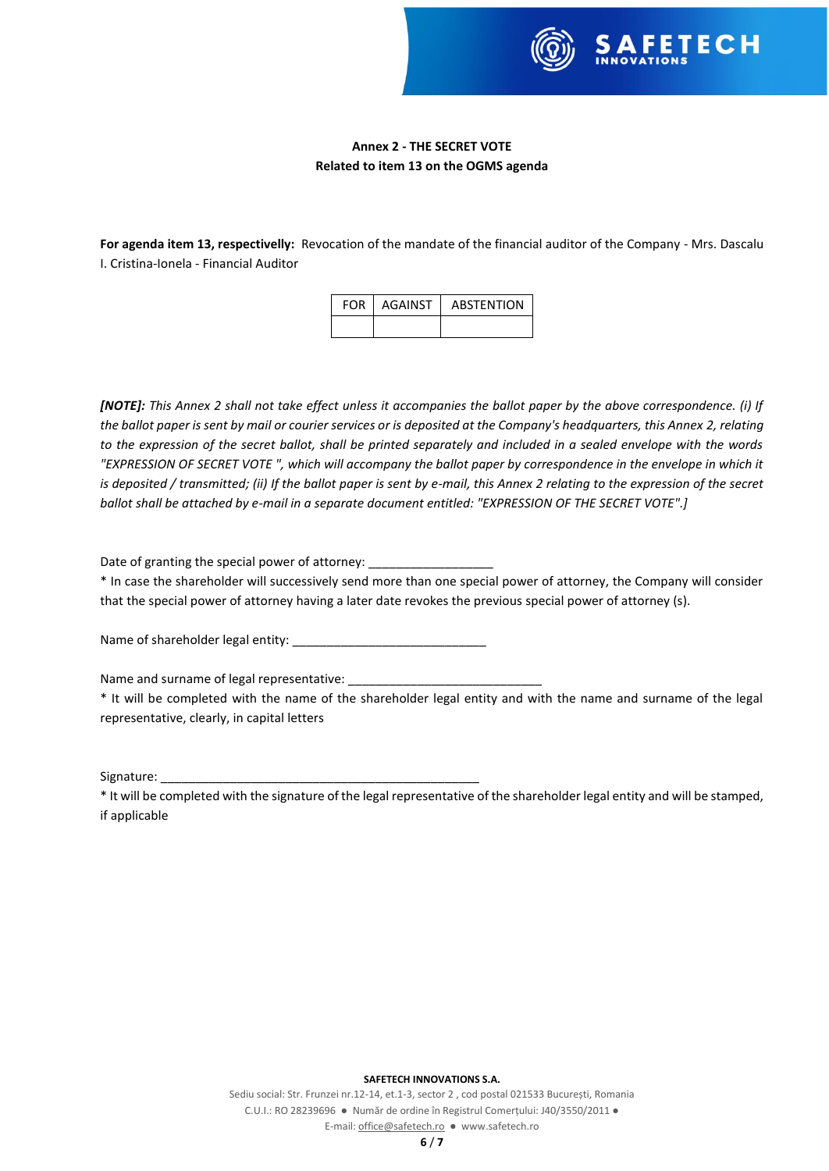

# **Annex 2 - THE SECRET VOTE Related to item 13 on the OGMS agenda**

**For agenda item 13, respectivelly:** Revocation of the mandate of the financial auditor of the Company - Mrs. Dascalu I. Cristina-Ionela - Financial Auditor

| <b>FOR I AGAINST</b> | <b>ABSTENTION</b> |
|----------------------|-------------------|
|                      |                   |

*[NOTE]: This Annex 2 shall not take effect unless it accompanies the ballot paper by the above correspondence. (i) If the ballot paper is sent by mail or courier services or is deposited at the Company's headquarters, this Annex 2, relating to the expression of the secret ballot, shall be printed separately and included in a sealed envelope with the words "EXPRESSION OF SECRET VOTE ", which will accompany the ballot paper by correspondence in the envelope in which it is deposited / transmitted; (ii) If the ballot paper is sent by e-mail, this Annex 2 relating to the expression of the secret ballot shall be attached by e-mail in a separate document entitled: "EXPRESSION OF THE SECRET VOTE".]*

Date of granting the special power of attorney:

\* In case the shareholder will successively send more than one special power of attorney, the Company will consider that the special power of attorney having a later date revokes the previous special power of attorney (s).

Name of shareholder legal entity:

Name and surname of legal representative:

\* It will be completed with the name of the shareholder legal entity and with the name and surname of the legal representative, clearly, in capital letters

Signature:

\* It will be completed with the signature of the legal representative of the shareholder legal entity and will be stamped, if applicable

### **SAFETECH INNOVATIONS S.A.**

Sediu social: Str. Frunzei nr.12-14, et.1-3, sector 2 , cod postal 021533 București, Romania C.U.I.: RO 28239696 ● Număr de ordine în Registrul Comerțului: J40/3550/2011 ● E-mail[: office@safetech.ro](mailto:office@safetech.ro) ● www.safetech.ro